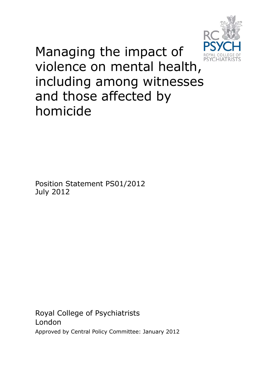

Managing the impact of violence on mental health, including among witnesses and those affected by homicide

Position Statement PS01/2012 July 2012

Royal College of Psychiatrists London Approved by Central Policy Committee: January 2012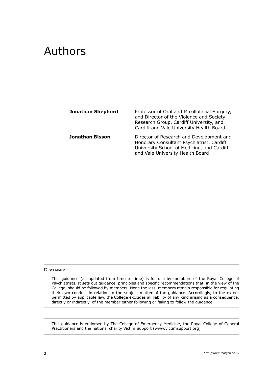# Authors

| <b>Jonathan Shepherd</b> | Professor of Oral and Maxillofacial Surgery,<br>and Director of the Violence and Society<br>Research Group, Cardiff University, and<br>Cardiff and Vale University Health Board |
|--------------------------|---------------------------------------------------------------------------------------------------------------------------------------------------------------------------------|
| Jonathan Bisson          | Director of Research and Development and<br>Honorary Consultant Psychiatrist, Cardiff<br>University School of Medicine, and Cardiff<br>and Vale University Health Board         |

#### **DISCLAIMER**

This guidance (as updated from time to time) is for use by members of the Royal College of Psychiatrists. It sets out guidance, principles and specific recommendations that, in the view of the College, should be followed by members. None the less, members remain responsible for regulating their own conduct in relation to the subject matter of the guidance. Accordingly, to the extent permitted by applicable law, the College excludes all liability of any kind arising as a consequence, directly or indirectly, of the member either following or failing to follow the guidance.

This guidance is endorsed by The College of Emergency Medicine, the Royal College of General Practitioners and the national charity Victim Support (www.victimsupport.org)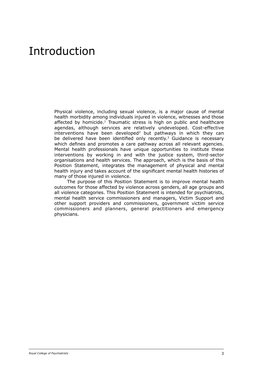# Introduction

Physical violence, including sexual violence, is a major cause of mental health morbidity among individuals injured in violence, witnesses and those affected by homicide.<sup>1</sup> Traumatic stress is high on public and healthcare agendas, although services are relatively undeveloped. Cost-effective interventions have been developed<sup>2</sup> but pathways in which they can be delivered have been identified only recently.<sup>3</sup> Guidance is necessary which defines and promotes a care pathway across all relevant agencies. Mental health professionals have unique opportunities to institute these interventions by working in and with the justice system, third-sector organisations and health services. The approach, which is the basis of this Position Statement, integrates the management of physical and mental health injury and takes account of the significant mental health histories of many of those injured in violence.

The purpose of this Position Statement is to improve mental health outcomes for those affected by violence across genders, all age groups and all violence categories. This Position Statement is intended for psychiatrists, mental health service commissioners and managers, Victim Support and other support providers and commissioners, government victim service commissioners and planners, general practitioners and emergency physicians.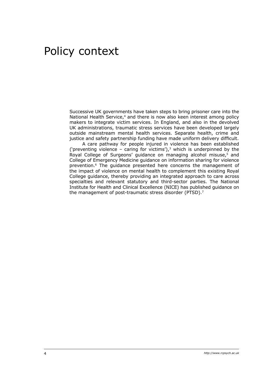# Policy context

Successive UK governments have taken steps to bring prisoner care into the National Health Service,<sup>4</sup> and there is now also keen interest among policy makers to integrate victim services. In England, and also in the devolved UK administrations, traumatic stress services have been developed largely outside mainstream mental health services. Separate health, crime and justice and safety partnership funding have made uniform delivery difficult.

A care pathway for people injured in violence has been established ('preventing violence – caring for victims'), $3$  which is underpinned by the Royal College of Surgeons' guidance on managing alcohol misuse, $5$  and College of Emergency Medicine guidance on information sharing for violence prevention.6 The guidance presented here concerns the management of the impact of violence on mental health to complement this existing Royal College guidance, thereby providing an integrated approach to care across specialties and relevant statutory and third-sector parties. The National Institute for Health and Clinical Excellence (NICE) has published guidance on the management of post-traumatic stress disorder (PTSD).<sup>7</sup>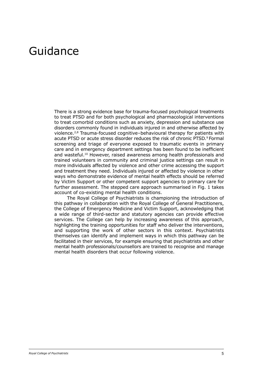### Guidance

There is a strong evidence base for trauma-focused psychological treatments to treat PTSD and for both psychological and pharmacological interventions to treat comorbid conditions such as anxiety, depression and substance use disorders commonly found in individuals injured in and otherwise affected by violence.2,8 Trauma-focused cognitive–behavioural therapy for patients with acute PTSD or acute stress disorder reduces the risk of chronic PTSD.<sup>9</sup> Formal screening and triage of everyone exposed to traumatic events in primary care and in emergency department settings has been found to be inefficient and wasteful.<sup>10</sup> However, raised awareness among health professionals and trained volunteers in community and criminal justice settings can result in more individuals affected by violence and other crime accessing the support and treatment they need. Individuals injured or affected by violence in other ways who demonstrate evidence of mental health effects should be referred by Victim Support or other competent support agencies to primary care for further assessment. The stepped care approach summarised in Fig. 1 takes account of co-existing mental health conditions.

The Royal College of Psychiatrists is championing the introduction of this pathway in collaboration with the Royal College of General Practitioners, the College of Emergency Medicine and Victim Support, acknowledging that a wide range of third-sector and statutory agencies can provide effective services. The College can help by increasing awareness of this approach, highlighting the training opportunities for staff who deliver the interventions, and supporting the work of other sectors in this context. Psychiatrists themselves can identify and implement ways in which this pathway can be facilitated in their services, for example ensuring that psychiatrists and other mental health professionals/counsellors are trained to recognise and manage mental health disorders that occur following violence.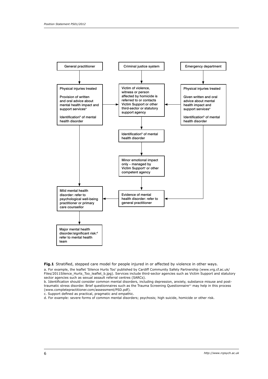

**Fig.1** Stratified, stepped care model for people injured in or affected by violence in other ways.

a. For example, the leaflet 'Silence Hurts Too' published by Cardiff Community Safety Partnership (www.vrg.cf.ac.uk/ Files/2011Silence\_Hurts\_Too\_leaflet\_b.jpg). Services include third-sector agencies such as Victim Support and statutory sector agencies such as sexual assault referral centres (SARCs).

b. Identification should consider common mental disorders, including depression, anxiety, substance misuse and posttraumatic stress disorder. Brief questionnaires such as the Trauma Screening Questionnaire<sup>11</sup> may help in this process (www.completepractitioner.com/assessment/PSD.pdf).

c. Support defined as practical, pragmatic and empathic.

d. For example: severe forms of common mental disorders; psychosis; high suicide, homicide or other risk.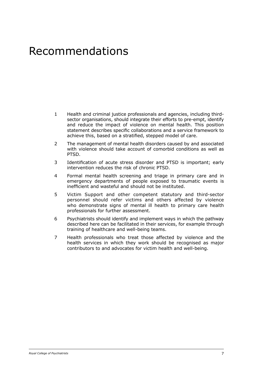# Recommendations

- 1 Health and criminal justice professionals and agencies, including thirdsector organisations, should integrate their efforts to pre-empt, identify and reduce the impact of violence on mental health. This position statement describes specific collaborations and a service framework to achieve this, based on a stratified, stepped model of care.
- 2 The management of mental health disorders caused by and associated with violence should take account of comorbid conditions as well as PTSD.
- 3 Identification of acute stress disorder and PTSD is important; early intervention reduces the risk of chronic PTSD.
- 4 Formal mental health screening and triage in primary care and in emergency departments of people exposed to traumatic events is inefficient and wasteful and should not be instituted.
- 5 Victim Support and other competent statutory and third-sector personnel should refer victims and others affected by violence who demonstrate signs of mental ill health to primary care health professionals for further assessment.
- 6 Psychiatrists should identify and implement ways in which the pathway described here can be facilitated in their services, for example through training of healthcare and well-being teams.
- 7 Health professionals who treat those affected by violence and the health services in which they work should be recognised as major contributors to and advocates for victim health and well-being.